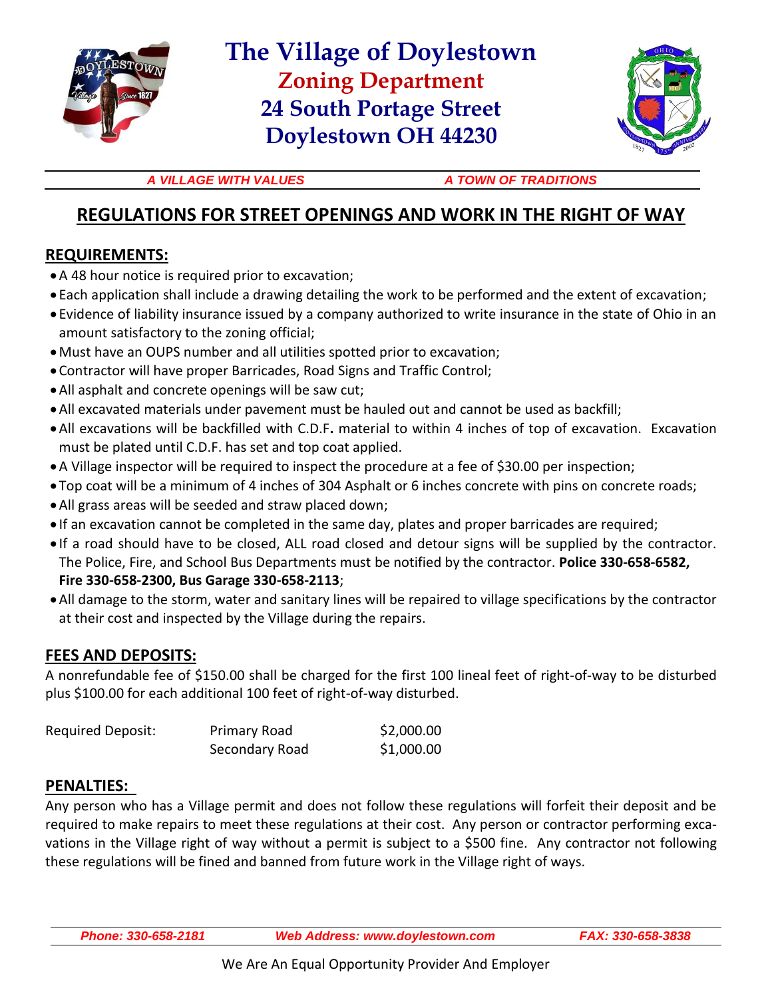

# **The Village of Doylestown Zoning Department 24 South Portage Street Doylestown OH 44230**



A VILLAGE WITH VALUES A TOWN OF TRADITIONS

## **REGULATIONS FOR STREET OPENINGS AND WORK IN THE RIGHT OF WAY**

### **REQUIREMENTS:**

- A 48 hour notice is required prior to excavation;
- Each application shall include a drawing detailing the work to be performed and the extent of excavation;
- Evidence of liability insurance issued by a company authorized to write insurance in the state of Ohio in an amount satisfactory to the zoning official;
- Must have an OUPS number and all utilities spotted prior to excavation;
- Contractor will have proper Barricades, Road Signs and Traffic Control;
- All asphalt and concrete openings will be saw cut;
- All excavated materials under pavement must be hauled out and cannot be used as backfill;
- All excavations will be backfilled with C.D.F**.** material to within 4 inches of top of excavation. Excavation must be plated until C.D.F. has set and top coat applied.
- A Village inspector will be required to inspect the procedure at a fee of \$30.00 per inspection;
- Top coat will be a minimum of 4 inches of 304 Asphalt or 6 inches concrete with pins on concrete roads;
- All grass areas will be seeded and straw placed down;
- If an excavation cannot be completed in the same day, plates and proper barricades are required;
- If a road should have to be closed, ALL road closed and detour signs will be supplied by the contractor. The Police, Fire, and School Bus Departments must be notified by the contractor. **Police 330-658-6582, Fire 330-658-2300, Bus Garage 330-658-2113**;
- All damage to the storm, water and sanitary lines will be repaired to village specifications by the contractor at their cost and inspected by the Village during the repairs.

#### **FEES AND DEPOSITS:**

A nonrefundable fee of \$150.00 shall be charged for the first 100 lineal feet of right-of-way to be disturbed plus \$100.00 for each additional 100 feet of right-of-way disturbed.

| Required Deposit: | <b>Primary Road</b> | \$2,000.00 |
|-------------------|---------------------|------------|
|                   | Secondary Road      | \$1,000.00 |

#### **PENALTIES:**

Any person who has a Village permit and does not follow these regulations will forfeit their deposit and be required to make repairs to meet these regulations at their cost. Any person or contractor performing excavations in the Village right of way without a permit is subject to a \$500 fine. Any contractor not following these regulations will be fined and banned from future work in the Village right of ways.

*Phone: 330-658-2181 Web Address: www.doylestown.com FAX: 330-658-3838*